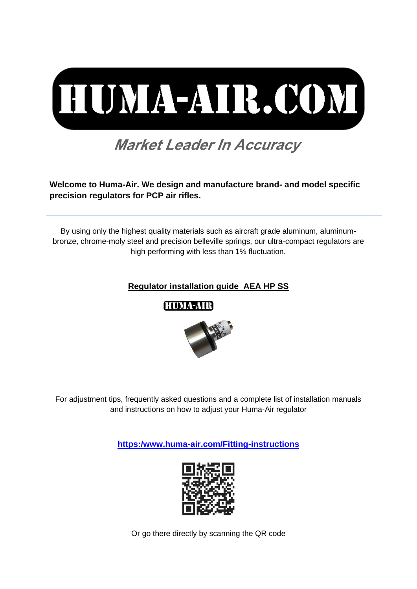

# **Market Leader In Accuracy**

**Welcome to Huma-Air. We design and manufacture brand- and model specific precision regulators for PCP air rifles.**

By using only the highest quality materials such as aircraft grade aluminum, aluminumbronze, chrome-moly steel and precision belleville springs, our ultra-compact regulators are high performing with less than 1% fluctuation.

### **Regulator installation guide AEA HP SS**



For adjustment tips, frequently asked questions and a complete list of installation manuals and instructions on how to adjust your Huma-Air regulator

**[https:/www.huma-air.com/Fitting-instructions](https://www.huma-air.com/Fitting-instructions)**



Or go there directly by scanning the QR code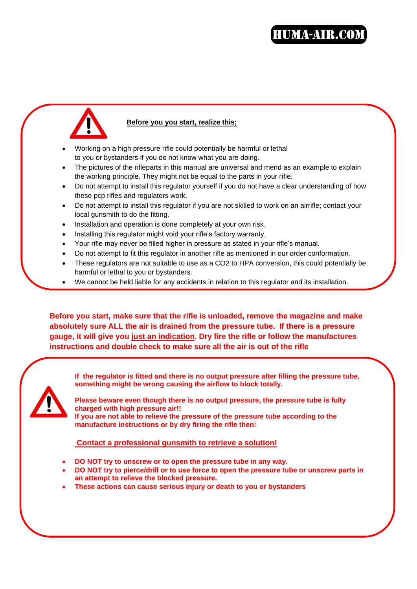# **HUMA-AIR.COM**



### **Before you you start, realize this;**

- Working on a high pressure rifle could potentially be harmful or lethal to you or bystanders if you do not know what you are doing.
- The pictures of the rifleparts in this manual are universal and mend as an example to explain the working principle. They might not be equal to the parts in your rifle.
- Do not attempt to install this regulator yourself if you do not have a clear understanding of how these pcp rifles and regulators work.
- Do not attempt to install this regulator if you are not skilled to work on an airrifle; contact your local gunsmith to do the fitting.
- Installation and operation is done completely at your own risk.
- Installing this regulator might void your rifle's factory warranty.
- Your rifle may never be filled higher in pressure as stated in your rifle's manual.
- Do not attempt to fit this regulator in another rifle as mentioned in our order conformation.
- These regulators are not suitable to use as a CO2 to HPA conversion, this could potentially be harmful or lethal to you or bystanders.
- We cannot be held liable for any accidents in relation to this regulator and its installation.

**Before you start, make sure that the rifle is unloaded, remove the magazine and make absolutely sure ALL the air is drained from the pressure tube. If there is a pressure gauge, it will give you just an indication. Dry fire the rifle or follow the manufactures instructions and double check to make sure all the air is out of the rifle**



**If the regulator is fitted and there is no output pressure after filling the pressure tube, something might be wrong causing the airflow to block totally.**

**Please beware even though there is no output pressure, the pressure tube is fully charged with high pressure air!! If you are not able to relieve the pressure of the pressure tube according to the manufacture instructions or by dry firing the rifle then:**

#### **Contact a professional gunsmith to retrieve a solution!**

- **DO NOT try to unscrew or to open the pressure tube in any way.**
- **DO NOT try to pierce/drill or to use force to open the pressure tube or unscrew parts in an attempt to relieve the blocked pressure.**
- **These actions can cause serious injury or death to you or bystanders**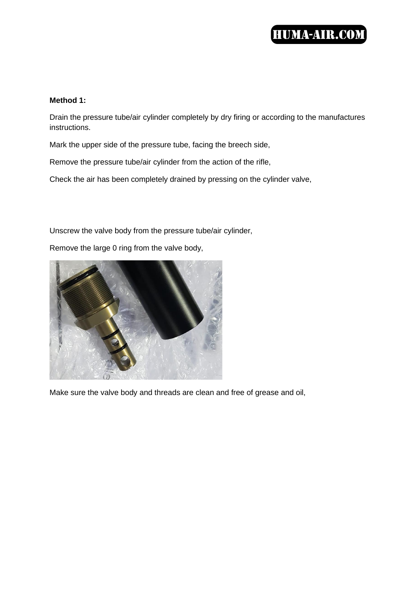## **HUMA-AIR.COM**

### **Method 1:**

Drain the pressure tube/air cylinder completely by dry firing or according to the manufactures instructions.

Mark the upper side of the pressure tube, facing the breech side,

Remove the pressure tube/air cylinder from the action of the rifle,

Check the air has been completely drained by pressing on the cylinder valve,

Unscrew the valve body from the pressure tube/air cylinder,

Remove the large 0 ring from the valve body,



Make sure the valve body and threads are clean and free of grease and oil,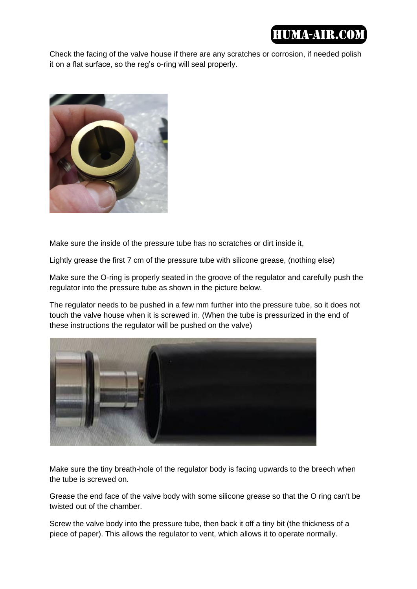# **HUMA-AIR COM**

Check the facing of the valve house if there are any scratches or corrosion, if needed polish it on a flat surface, so the reg's o-ring will seal properly.



Make sure the inside of the pressure tube has no scratches or dirt inside it,

Lightly grease the first 7 cm of the pressure tube with silicone grease, (nothing else)

Make sure the O-ring is properly seated in the groove of the regulator and carefully push the regulator into the pressure tube as shown in the picture below.

The regulator needs to be pushed in a few mm further into the pressure tube, so it does not touch the valve house when it is screwed in. (When the tube is pressurized in the end of these instructions the regulator will be pushed on the valve)



Make sure the tiny breath-hole of the regulator body is facing upwards to the breech when the tube is screwed on.

Grease the end face of the valve body with some silicone grease so that the O ring can't be twisted out of the chamber.

Screw the valve body into the pressure tube, then back it off a tiny bit (the thickness of a piece of paper). This allows the regulator to vent, which allows it to operate normally.